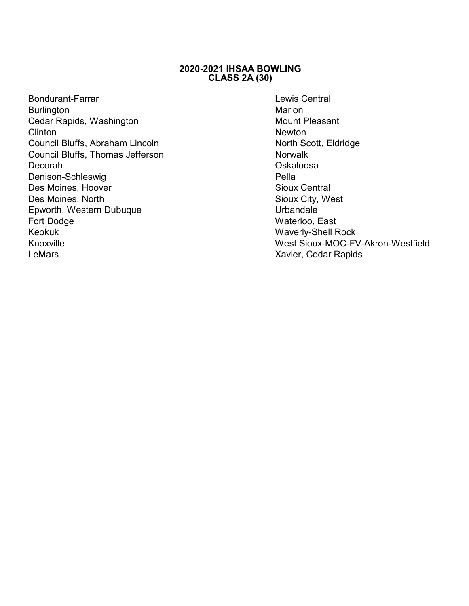## **2020-2021 IHSAA BOWLING CLASS 2A (30)**

- Bondurant-Farrar Lewis Central Burlington Marion Cedar Rapids, Washington Clinton Newton **Newton** Council Bluffs, Abraham Lincoln North Scott, Eldridge Council Bluffs, Thomas Jefferson Norwalk Decorah Oskaloosa Denison-Schleswig Pella Des Moines, Hoover Des Moines, North Sioux City, West<br>
Enworth Western Dubuque<br>
Sioux City, West Epworth, Western Dubuque Fort Dodge Waterloo, East Keokuk Waverly-Shell Rock LeMars **Called Accord Contract Contract Contract Contract Contract Contract Contract Contract Contract Contract Contract Contract Contract Contract Contract Contract Contract Contract Contract Contract Contract Contract Co**
- Knoxville West Sioux-MOC-FV-Akron-Westfield